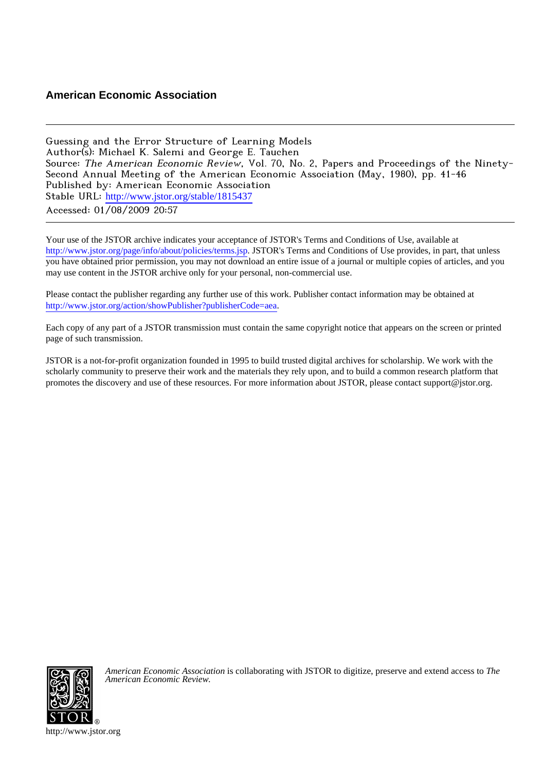# **American Economic Association**

Guessing and the Error Structure of Learning Models Author(s): Michael K. Salemi and George E. Tauchen Source: The American Economic Review, Vol. 70, No. 2, Papers and Proceedings of the Ninety-Second Annual Meeting of the American Economic Association (May, 1980), pp. 41-46 Published by: American Economic Association Stable URL: [http://www.jstor.org/stable/1815437](http://www.jstor.org/stable/1815437?origin=JSTOR-pdf) Accessed: 01/08/2009 20:57

Your use of the JSTOR archive indicates your acceptance of JSTOR's Terms and Conditions of Use, available at <http://www.jstor.org/page/info/about/policies/terms.jsp>. JSTOR's Terms and Conditions of Use provides, in part, that unless you have obtained prior permission, you may not download an entire issue of a journal or multiple copies of articles, and you may use content in the JSTOR archive only for your personal, non-commercial use.

Please contact the publisher regarding any further use of this work. Publisher contact information may be obtained at <http://www.jstor.org/action/showPublisher?publisherCode=aea>.

Each copy of any part of a JSTOR transmission must contain the same copyright notice that appears on the screen or printed page of such transmission.

JSTOR is a not-for-profit organization founded in 1995 to build trusted digital archives for scholarship. We work with the scholarly community to preserve their work and the materials they rely upon, and to build a common research platform that promotes the discovery and use of these resources. For more information about JSTOR, please contact support@jstor.org.



*American Economic Association* is collaborating with JSTOR to digitize, preserve and extend access to *The American Economic Review.*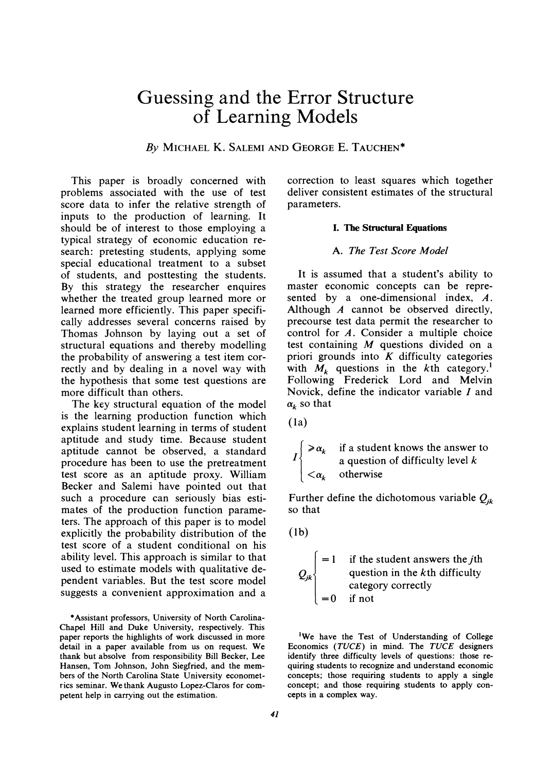# **Guessing and the Error Structure of Learning Models**

**By MICHAEL K. SALEMI AND GEORGE E. TAUCHEN\*** 

**This paper is broadly concerned with problems associated with the use of test score data to infer the relative strength of inputs to the production of learning. It should be of interest to those employing a typical strategy of economic education research: pretesting students, applying some special educational treatment to a subset of students, and posttesting the students. By this strategy the researcher enquires whether the treated group learned more or learned more efficiently. This paper specifically addresses several concerns raised by Thomas Johnson by laying out a set of structural equations and thereby modelling the probability of answering a test item correctly and by dealing in a novel way with the hypothesis that some test questions are more difficult than others.** 

**The key structural equation of the model is the learning production function which explains student learning in terms of student aptitude and study time. Because student aptitude cannot be observed, a standard procedure has been to use the pretreatment test score as an aptitude proxy. William Becker and Salemi have pointed out that such a procedure can seriously bias estimates of the production function parameters. The approach of this paper is to model explicitly the probability distribution of the test score of a student conditional on his ability level. This approach is similar to that used to estimate models with qualitative dependent variables. But the test score model suggests a convenient approximation and a** 

**\*Assistant professors, University of North Carolina-Chapel Hill and Duke University, respectively. This paper reports the highlights of work discussed in more detail in a paper available from us on request. We thank but absolve from responsibility Bill Becker, Lee Hansen, Tom Johnson, John Siegfried, and the members of the North Carolina State University econometrics seminar. We thank Augusto Lopez-Claros for competent help in carrying out the estimation.** 

**correction to least squares which together deliver consistent estimates of the structural parameters.** 

#### **I. The Structural Equations**

### **A. The Test Score Model**

**It is assumed that a student's ability to master economic concepts can be represented by a one-dimensional index, A. Although A cannot be observed directly, precourse test data permit the researcher to control for A. Consider a multiple choice test containing M questions divided on a priori grounds into K difficulty categories**  with  $M_k$  questions in the kth category.<sup>1</sup> **Following Frederick Lord and Melvin Novick, define the indicator variable I and**   $\alpha_k$  so that

**(la)** 

$$
I\begin{cases} \ge \alpha_k & \text{if a student knows the answer to} \\ a question of difficulty level } k \\ < \alpha_k & \text{otherwise} \end{cases}
$$

Further define the dichotomous variable  $Q_{ik}$ **so that** 

$$
(1b)
$$

$$
Q_{jk} = 1
$$
 if the student answers the *j*th  
question in the *k*th difficulty  
category correctly  
= 0 if not

**'We have the Test of Understanding of College Economics (TUCE) in mind. The TUCE designers identify three difficulty levels of questions: those requiring students to recognize and understand economic concepts; those requiring students to apply a single concept; and those requiring students to apply concepts in a complex way.**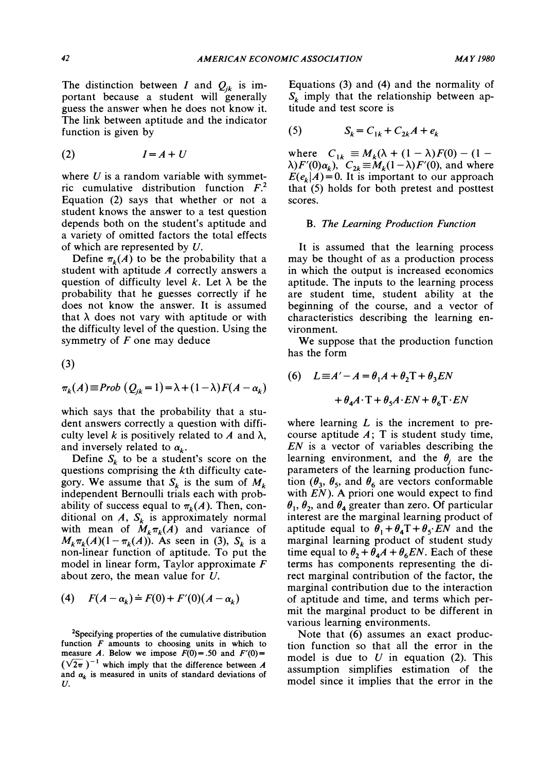**(3)** 

The distinction between I and  $Q_{jk}$  is im**portant because a student will generally guess the answer when he does not know it. The link between aptitude and the indicator function is given by** 

$$
(2) \tI = A + U
$$

**where U is a random variable with symmetric cumulative distribution function F.2 Equation (2) says that whether or not a student knows the answer to a test question depends both on the student's aptitude and a variety of omitted factors the total effects of which are represented by U.** 

Define  $\pi_k(A)$  to be the probability that a **student with aptitude A correctly answers a**  question of difficulty level k. Let  $\lambda$  be the **probability that he guesses correctly if he does not know the answer. It is assumed**  that  $\lambda$  does not vary with aptitude or with **the difficulty level of the question. Using the symmetry of F one may deduce** 

$$
\pi_k(A) \equiv Prob(Q_{jk} = 1) = \lambda + (1 - \lambda)F(A - \alpha_k)
$$

**which says that the probability that a student answers correctly a question with diffi**culty level  $k$  is positively related to  $A$  and  $\lambda$ , and inversely related to  $\alpha_k$ .

**Define**  $S_k$  **to be a student's score on the questions comprising the kth difficulty cate**gory. We assume that  $S_k$  is the sum of  $M_k$ **independent Bernoulli trials each with prob**ability of success equal to  $\pi_k(A)$ . Then, conditional on  $A$ ,  $S_k$  is approximately normal with mean of  $\tilde{M}_k \pi_k(A)$  and variance of  $M_k \pi_k(A)$  (1 -  $\pi_k(A)$ ). As seen in (3),  $S_k$  is a **non-linear function of aptitude. To put the model in linear form, Taylor approximate F about zero, the mean value for U.** 

$$
(4) \quad F(A - \alpha_k) = F(0) + F'(0)(A - \alpha_k)
$$

**2Specifying properties of the cumulative distribution function F amounts to choosing units in which to measure A. Below we impose**  $F(0) = .50$  **and**  $F'(0) =$  $(\sqrt{2\pi})^{-1}$  which imply that the difference between A and  $\alpha_k$  is measured in units of standard deviations of **U.** 

**Equations (3) and (4) and the normality of**   $S_k$  imply that the relationship between ap**titude and test score is** 

(5) 
$$
S_k = C_{1k} + C_{2k}A + e_k
$$

**where**  $C_{1k} \equiv M_k(\lambda + (1 - \lambda)F(0) - (1 - \lambda))$  $\lambda$ ) $F'(0)\alpha_k$ ,  $C_{2k} \equiv M_k(1-\lambda)F'(0)$ , and where  $E(e_k|A)=0$ . It is important to our approach **that (5) holds for both pretest and posttest scores.** 

### **B. The Learning Production Function**

**It is assumed that the learning process may be thought of as a production process in which the output is increased economics aptitude. The inputs to the learning process are student time, student ability at the beginning of the course, and a vector of characteristics describing the learning environment.** 

**We suppose that the production function has the form** 

(6) 
$$
L \equiv A' - A = \theta_1 A + \theta_2 T + \theta_3 EN
$$

$$
+ \theta_4 A \cdot T + \theta_5 A \cdot EN + \theta_6 T \cdot EN
$$

**where learning L is the increment to precourse aptitude A; T is student study time, EN is a vector of variables describing the**  learning environment, and the  $\theta_i$  are the **parameters of the learning production func**tion  $(\theta_3, \theta_5, \text{ and } \theta_6 \text{ are vectors conformable})$ **with EN). A priori one would expect to find**   $\theta_1$ ,  $\theta_2$ , and  $\theta_4$  greater than zero. Of particular **interest are the marginal learning product of**  aptitude equal to  $\theta_1 + \theta_4T + \theta_5$  *EN* and the **marginal learning product of student study time equal to**  $\theta_2 + \theta_4 A + \theta_6 EN$ **. Each of these terms has components representing the direct marginal contribution of the factor, the marginal contribution due to the interaction of aptitude and time, and terms which permit the marginal product to be different in various learning environments.** 

**Note that (6) assumes an exact production function so that all the error in the model is due to U in equation (2). This assumption simplifies estimation of the model since it implies that the error in the**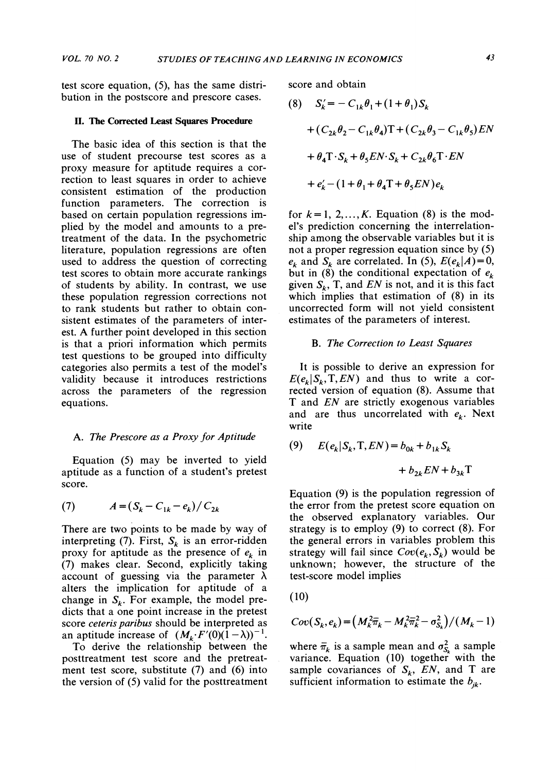**test score equation, (5), has the same distribution in the postscore and prescore cases.** 

#### **II. The Corrected Least Squares Procedure**

**The basic idea of this section is that the use of student precourse test scores as a proxy measure for aptitude requires a correction to least squares in order to achieve consistent estimation of the production function parameters. The correction is based on certain population regressions implied by the model and amounts to a pretreatment of the data. In the psychometric literature, population regressions are often used to address the question of correcting test scores to obtain more accurate rankings of students by ability. In contrast, we use these population regression corrections not to rank students but rather to obtain consistent estimates of the parameters of interest. A further point developed in this section is that a priori information which permits test questions to be grouped into difficulty categories also permits a test of the model's validity because it introduces restrictions across the parameters of the regression equations.** 

#### **A. The Prescore as a Proxy for Aptitude**

**Equation (5) may be inverted to yield aptitude as a function of a student's pretest score.** 

(7) 
$$
A = (S_k - C_{1k} - e_k) / C_{2k}
$$

**There are two points to be made by way of**  interpreting (7). First,  $S_k$  is an error-ridden proxy for aptitude as the presence of  $e_k$  in **(7) makes clear. Second, explicitly taking**  account of guessing via the parameter  $\lambda$ **alters the implication for aptitude of a**  change in  $S_k$ . For example, the model pre**dicts that a one point increase in the pretest score ceteris paribus should be interpreted as**  an aptitude increase of  $(M_k \cdot F'(0)(1 - \lambda))^{-1}$ .

**To derive the relationship between the posttreatment test score and the pretreatment test score, substitute (7) and (6) into the version of (5) valid for the posttreatment**  **score and obtain** 

(8) 
$$
S'_{k} = -C_{1k}\theta_{1} + (1 + \theta_{1})S_{k}
$$

$$
+ (C_{2k}\theta_{2} - C_{1k}\theta_{4})T + (C_{2k}\theta_{3} - C_{1k}\theta_{5})EN
$$

$$
+ \theta_{4}T \cdot S_{k} + \theta_{5}EN \cdot S_{k} + C_{2k}\theta_{6}T \cdot EN
$$

$$
+ e'_{k} - (1 + \theta_{1} + \theta_{4}T + \theta_{5}EN)e_{k}
$$

for  $k = 1, 2, \ldots, K$ . Equation (8) is the mod**el's prediction concerning the interrelationship among the observable variables but it is not a proper regression equation since by (5)**   $e_k$  and  $S_k$  are correlated. In (5),  $E(e_k|A)=0$ , but in (8) the conditional expectation of  $e_k$ **given**  $S_k$ **, T, and EN** is not, and it is this fact **which implies that estimation of (8) in its uncorrected form will not yield consistent estimates of the parameters of interest.** 

#### **B. The Correction to Least Squares**

**It is possible to derive an expression for**   $E(e_k|S_k,T, EN)$  and thus to write a cor**rected version of equation (8). Assume that T and EN are strictly exogenous variables**  and are thus uncorrelated with  $e_k$ . Next **write** 

(9) 
$$
E(e_k|S_k, T, EN) = b_{0k} + b_{1k}S_k
$$
  
+  $b_{2k}EN + b_{3k}T$ 

**Equation (9) is the population regression of the error from the pretest score equation on the observed explanatory variables. Our strategy is to employ (9) to correct (8). For the general errors in variables problem this**  strategy will fail since  $Cov(e_k, S_k)$  would be **unknown; however, the structure of the test-score model implies** 

**(10)** 

$$
Cov(S_k, e_k) = \left(M_k^2 \overline{\pi}_k - M_k^2 \overline{\pi}_k^2 - \sigma_{S_k}^2\right) / (M_k - 1)
$$

where  $\bar{\pi}_k$  is a sample mean and  $\sigma_{S_k}^2$  a sample **variance. Equation (10) together with the**  sample covariances of  $S_k$ , *EN*, and T are sufficient information to estimate the  $b_{jk}$ .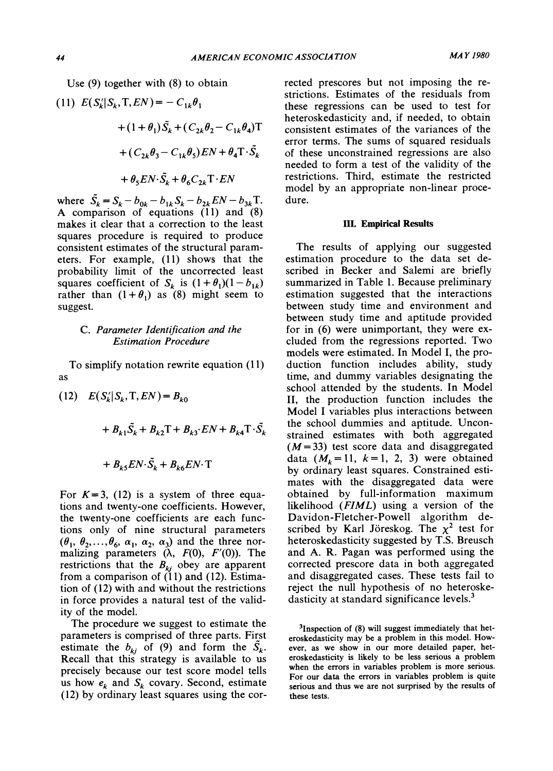**Use (9) together with (8) to obtain** 

(11) 
$$
E(S'_{k}|S_{k},T,EN) = -C_{1k}\theta_{1}
$$

$$
+ (1+\theta_{1})\tilde{S}_{k} + (C_{2k}\theta_{2} - C_{1k}\theta_{4})T
$$

$$
+ (C_{2k}\theta_{3} - C_{1k}\theta_{5})EN + \theta_{4}T \cdot \tilde{S}_{k}
$$

$$
+ \theta_{5}EN \cdot \tilde{S}_{k} + \theta_{6}C_{2k}T \cdot EN
$$

 $\text{where} \ \ S_k = S_k - b_{0k} - b_{1k}S_k - b_{2k}EN - b_{3k}T.$ **A comparison of equations (11) and (8) makes it clear that a correction to the least squares procedure is required to produce consistent estimates of the structural parameters. For example, (11) shows that the probability limit of the uncorrected least squares coefficient of**  $S_k$  **is**  $(1 + \theta_1)(1 - b_{1k})$ rather than  $(1 + \theta_1)$  as (8) might seem to **suggest.** 

# **C. Parameter Identification and the Estimation Procedure**

**To simplify notation rewrite equation (11) as** 

(12) 
$$
E(S'_{k}|S_{k},T, EN) = B_{k0}
$$

$$
+ B_{k1}\tilde{S}_{k} + B_{k2}T + B_{k3} \cdot EN + B_{k4}T \cdot \tilde{S}_{k}
$$

$$
+ B_{k5}EN \cdot \tilde{S}_{k} + B_{k6}EN \cdot T
$$

For  $K = 3$ , (12) is a system of three equa**tions and twenty-one coefficients. However, the twenty-one coefficients are each functions only of nine structural parameters**   $(\theta_1, \theta_2, \ldots, \theta_6, \alpha_1, \alpha_2, \alpha_3)$  and the three normalizing parameters  $(\lambda, F(0), F'(0))$ . The restrictions that the  $B_{kj}$  obey are apparent **from a comparison of (1 1) and (12). Estimation of (12) with and without the restrictions in force provides a natural test of the validity of the model.** 

**The procedure we suggest to estimate the parameters is comprised of three parts. First**  estimate the  $b_{ki}$  of (9) and form the  $\tilde{S}_k$ . **Recall that this strategy is available to us precisely because our test score model tells**  us how  $e_k$  and  $S_k$  covary. Second, estimate **(12) by ordinary least squares using the cor-** **rected prescores but not imposing the restrictions. Estimates of the residuals from these regressions can be used to test for heteroskedasticity and, if needed, to obtain consistent estimates of the variances of the error terms. The sums of squared residuals of these unconstrained regressions are also needed to form a test of the validity of the restrictions. Third, estimate the restricted model by an appropriate non-linear procedure.** 

#### **II. Empirical Results**

**The results of applying our suggested estimation procedure to the data set described in Becker and Salemi are briefly summarized in Table 1. Because preliminary estimation suggested that the interactions between study time and environment and between study time and aptitude provided for in (6) were unimportant, they were excluded from the regressions reported. Two models were estimated. In Model I, the production function includes ability, study time, and dummy variables designating the school attended by the students. In Model II, the production function includes the Model I variables plus interactions between the school dummies and aptitude. Unconstrained estimates with both aggregated (M=33) test score data and disaggregated**  data  $(M_k = 11, k = 1, 2, 3)$  were obtained **by ordinary least squares. Constrained estimates with the disaggregated data were obtained by full-information maximum likelihood (FIML) using a version of the Davidon-Fletcher-Powell algorithm de**scribed by Karl Jöreskog. The  $\chi^2$  test for **heteroskedasticity suggested by T.S. Breusch and A. R. Pagan was performed using the corrected prescore data in both aggregated and disaggregated cases. These tests fail to reject the null hypothesis of no heteroskedasticity at standard significance levels.3** 

**3Inspection of (8) will suggest immediately that heteroskedasticity may be a problem in this model. However, as we show in our more detailed paper, heteroskedasticity is likely to be less serious a problem when the errors in variables problem is more serious. For our data the errors in variables problem is quite serious and thus we are not surprised by the results of these tests.**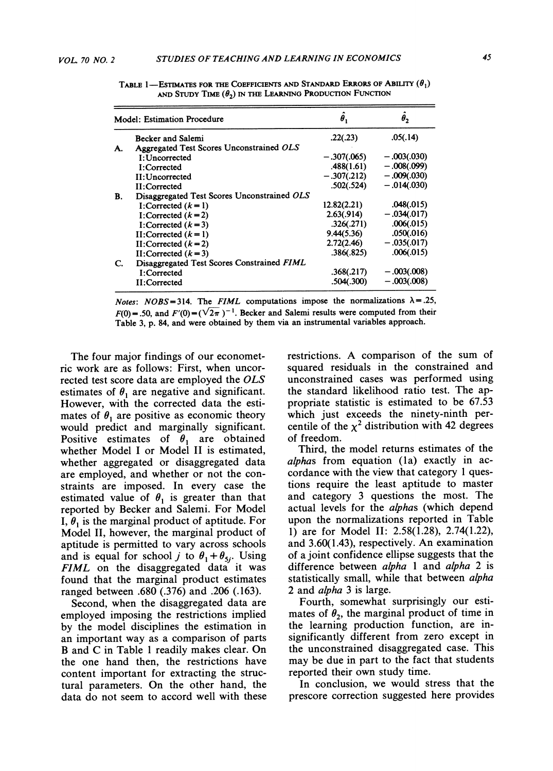| <b>Model: Estimation Procedure</b> |                                             | θ             |               |
|------------------------------------|---------------------------------------------|---------------|---------------|
|                                    | Becker and Salemi                           | .22(.23)      | .05(.14)      |
| А.                                 | Aggregated Test Scores Unconstrained OLS    |               |               |
|                                    | I:Uncorrected                               | $-.307(.065)$ | $-.003(.030)$ |
|                                    | I:Corrected                                 | .488(1.61)    | $-.008(.099)$ |
|                                    | II: Uncorrected                             | $-.307(.212)$ | $-.009(.030)$ |
|                                    | II: Corrected                               | .502(.524)    | $-.014(.030)$ |
| B.                                 | Disaggregated Test Scores Unconstrained OLS |               |               |
|                                    | I:Corrected $(k = 1)$                       | 12.82(2.21)   | .048(.015)    |
|                                    | I:Corrected $(k=2)$                         | 2.63(.914)    | $-.034(.017)$ |
|                                    | I:Corrected $(k=3)$                         | .326(.271)    | .006(.015)    |
|                                    | II:Corrected $(k = 1)$                      | 9.44(5.36)    | .050(.016)    |
|                                    | II:Corrected $(k=2)$                        | 2.72(2.46)    | $-.035(.017)$ |
|                                    | II: Corrected $(k=3)$                       | .386(.825)    | .006(.015)    |
| C.                                 | Disaggregated Test Scores Constrained FIML  |               |               |
|                                    | I:Corrected                                 | .368(.217)    | $-.003(.008)$ |
|                                    | II:Corrected                                | .504(.300)    | $-.003(.008)$ |

TABLE 1-ESTIMATES FOR THE COEFFICIENTS AND STANDARD ERRORS OF ABILITY  $(\theta_1)$ AND STUDY TIME  $(\theta_2)$  in the Learning Production Function

*Notes: NOBS*=314. The *FIML* computations impose the normalizations  $\lambda = .25$ ,  $F(0) = .50$ , and  $F'(0) = (\sqrt{2\pi})^{-1}$ . Becker and Salemi results were computed from their **Table 3, p. 84, and were obtained by them via an instrumental variables approach.** 

**The four major findings of our econometric work are as follows: First, when uncorrected test score data are employed the OLS**  estimates of  $\theta_1$  are negative and significant. **However, with the corrected data the esti**mates of  $\theta_1$  are positive as economic theory **would predict and marginally significant.**  Positive estimates of  $\theta_1$  are obtained **whether Model I or Model II is estimated, whether aggregated or disaggregated data are employed, and whether or not the constraints are imposed. In every case the**  estimated value of  $\theta_1$  is greater than that **reported by Becker and Salemi. For Model**  I,  $\theta_1$  is the marginal product of aptitude. For **Model II, however, the marginal product of aptitude is permitted to vary across schools**  and is equal for school *j* to  $\theta_1 + \theta_{5i}$ . Using **FIML on the disaggregated data it was found that the marginal product estimates ranged between .680 (.376) and .206 (.163).** 

**Second, when the disaggregated data are employed imposing the restrictions implied by the model disciplines the estimation in an important way as a comparison of parts B and C in Table 1 readily makes clear. On the one hand then, the restrictions have content important for extracting the structural parameters. On the other hand, the data do not seem to accord well with these**  **restrictions. A comparison of the sum of squared residuals in the constrained and unconstrained cases was performed using the standard likelihood ratio test. The appropriate statistic is estimated to be 67.53**  which just exceeds the ninety-ninth percentile of the  $\chi^2$  distribution with 42 degrees **of freedom.** 

**Third, the model returns estimates of the alphas from equation (la) exactly in accordance with the view that category 1 questions require the least aptitude to master and category 3 questions the most. The actual levels for the alphas (which depend upon the normalizations reported in Table 1) are for Model II: 2.58(1.28), 2.74(1.22), and 3.60(1.43), respectively. An examination of a joint confidence ellipse suggests that the difference between alpha 1 and alpha 2 is statistically small, while that between alpha 2 and alpha 3 is large.** 

**Fourth, somewhat surprisingly our esti**mates of  $\theta_2$ , the marginal product of time in **the learning production function, are insignificantly different from zero except in the unconstrained disaggregated case. This may be due in part to the fact that students reported their own study time.** 

**In conclusion, we would stress that the prescore correction suggested here provides**